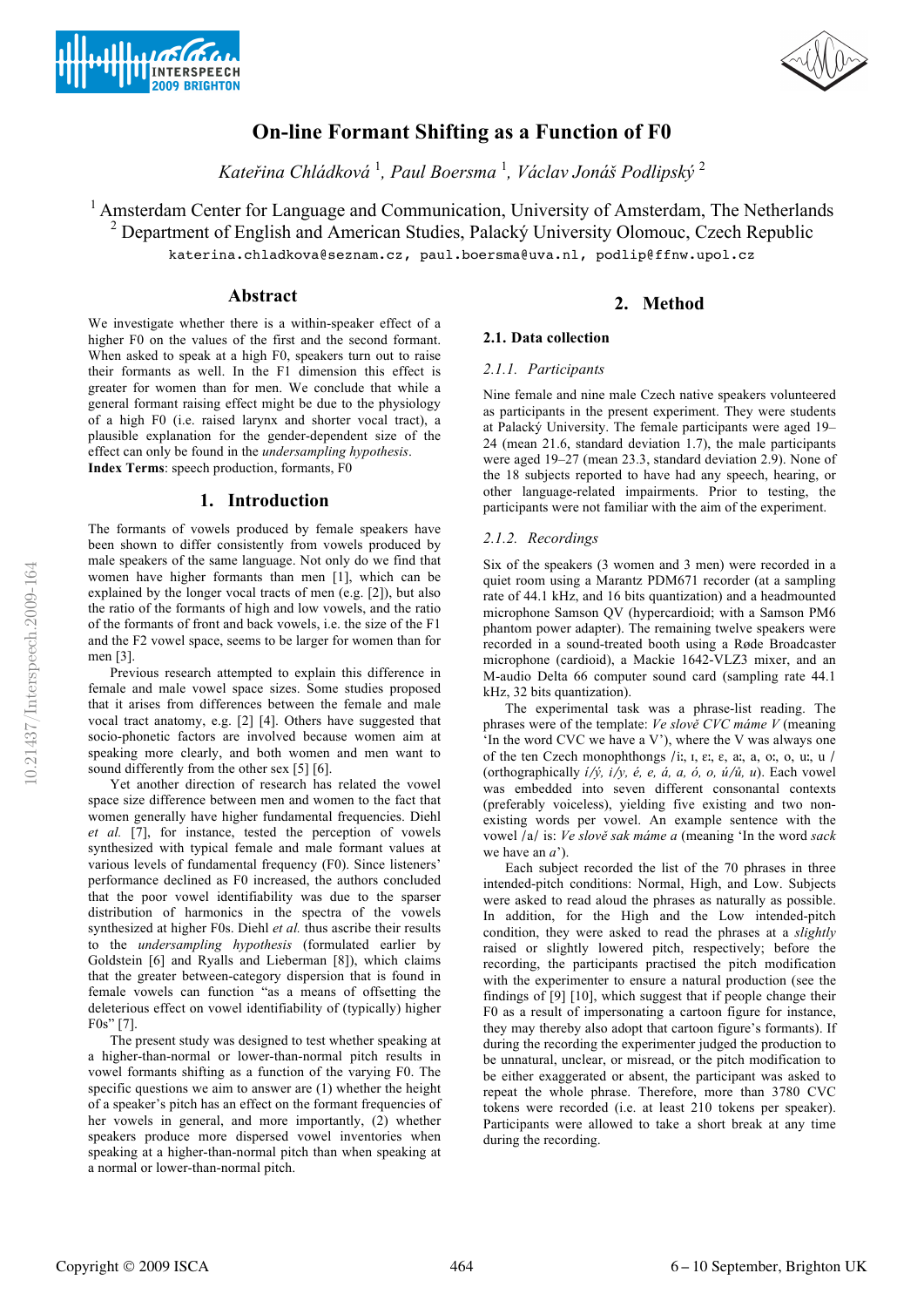



# **On-line Formant Shifting as a Function of F0**

*Kateřina Chládková* <sup>1</sup> *, Paul Boersma* <sup>1</sup> *, Václav Jonáš Podlipský* <sup>2</sup>

<sup>1</sup> Amsterdam Center for Language and Communication, University of Amsterdam, The Netherlands <sup>2</sup> Department of English and American Studies, Palacký University Olomouc, Czech Republic katerina.chladkova@seznam.cz, paul.boersma@uva.nl, podlip@ffnw.upol.cz

## **Abstract**

We investigate whether there is a within-speaker effect of a higher F0 on the values of the first and the second formant. When asked to speak at a high F0, speakers turn out to raise their formants as well. In the F1 dimension this effect is greater for women than for men. We conclude that while a general formant raising effect might be due to the physiology of a high F0 (i.e. raised larynx and shorter vocal tract), a plausible explanation for the gender-dependent size of the effect can only be found in the *undersampling hypothesis*. **Index Terms**: speech production, formants, F0

## **1. Introduction**

The formants of vowels produced by female speakers have been shown to differ consistently from vowels produced by male speakers of the same language. Not only do we find that women have higher formants than men [1], which can be explained by the longer vocal tracts of men (e.g. [2]), but also the ratio of the formants of high and low vowels, and the ratio of the formants of front and back vowels, i.e. the size of the F1 and the F2 vowel space, seems to be larger for women than for men [3].

Previous research attempted to explain this difference in female and male vowel space sizes. Some studies proposed that it arises from differences between the female and male vocal tract anatomy, e.g. [2] [4]. Others have suggested that socio-phonetic factors are involved because women aim at speaking more clearly, and both women and men want to sound differently from the other sex [5] [6].

Yet another direction of research has related the vowel space size difference between men and women to the fact that women generally have higher fundamental frequencies. Diehl *et al.* [7], for instance, tested the perception of vowels synthesized with typical female and male formant values at various levels of fundamental frequency (F0). Since listeners' performance declined as F0 increased, the authors concluded that the poor vowel identifiability was due to the sparser distribution of harmonics in the spectra of the vowels synthesized at higher F0s. Diehl *et al.* thus ascribe their results to the *undersampling hypothesis* (formulated earlier by Goldstein [6] and Ryalls and Lieberman [8]), which claims that the greater between-category dispersion that is found in female vowels can function "as a means of offsetting the deleterious effect on vowel identifiability of (typically) higher F0s" [7].

The present study was designed to test whether speaking at a higher-than-normal or lower-than-normal pitch results in vowel formants shifting as a function of the varying F0. The specific questions we aim to answer are (1) whether the height of a speaker's pitch has an effect on the formant frequencies of her vowels in general, and more importantly, (2) whether speakers produce more dispersed vowel inventories when speaking at a higher-than-normal pitch than when speaking at a normal or lower-than-normal pitch.

# **2. Method**

# **2.1. Data collection**

## *2.1.1. Participants*

Nine female and nine male Czech native speakers volunteered as participants in the present experiment. They were students at Palacký University. The female participants were aged 19– 24 (mean 21.6, standard deviation 1.7), the male participants were aged 19–27 (mean 23.3, standard deviation 2.9). None of the 18 subjects reported to have had any speech, hearing, or other language-related impairments. Prior to testing, the participants were not familiar with the aim of the experiment.

## *2.1.2. Recordings*

Six of the speakers (3 women and 3 men) were recorded in a quiet room using a Marantz PDM671 recorder (at a sampling rate of 44.1 kHz, and 16 bits quantization) and a headmounted microphone Samson QV (hypercardioid; with a Samson PM6 phantom power adapter). The remaining twelve speakers were recorded in a sound-treated booth using a Røde Broadcaster microphone (cardioid), a Mackie 1642-VLZ3 mixer, and an M-audio Delta 66 computer sound card (sampling rate 44.1 kHz, 32 bits quantization).

The experimental task was a phrase-list reading. The phrases were of the template: *Ve slově CVC máme V* (meaning 'In the word CVC we have a V'), where the V was always one of the ten Czech monophthongs /iː, ɪ, ɛː, ɛ, aː, a, oː, o, uː, u / (orthographically *í*/*ý, i*/*y, é, e, á, a, ó, o, ú*/*ů, u*). Each vowel was embedded into seven different consonantal contexts (preferably voiceless), yielding five existing and two nonexisting words per vowel. An example sentence with the vowel /a/ is: *Ve slově sak máme a* (meaning 'In the word *sack* we have an *a*').

Each subject recorded the list of the 70 phrases in three intended-pitch conditions: Normal, High, and Low. Subjects were asked to read aloud the phrases as naturally as possible. In addition, for the High and the Low intended-pitch condition, they were asked to read the phrases at a *slightly* raised or slightly lowered pitch, respectively; before the recording, the participants practised the pitch modification with the experimenter to ensure a natural production (see the findings of [9] [10], which suggest that if people change their F0 as a result of impersonating a cartoon figure for instance, they may thereby also adopt that cartoon figure's formants). If during the recording the experimenter judged the production to be unnatural, unclear, or misread, or the pitch modification to be either exaggerated or absent, the participant was asked to repeat the whole phrase. Therefore, more than 3780 CVC tokens were recorded (i.e. at least 210 tokens per speaker). Participants were allowed to take a short break at any time during the recording.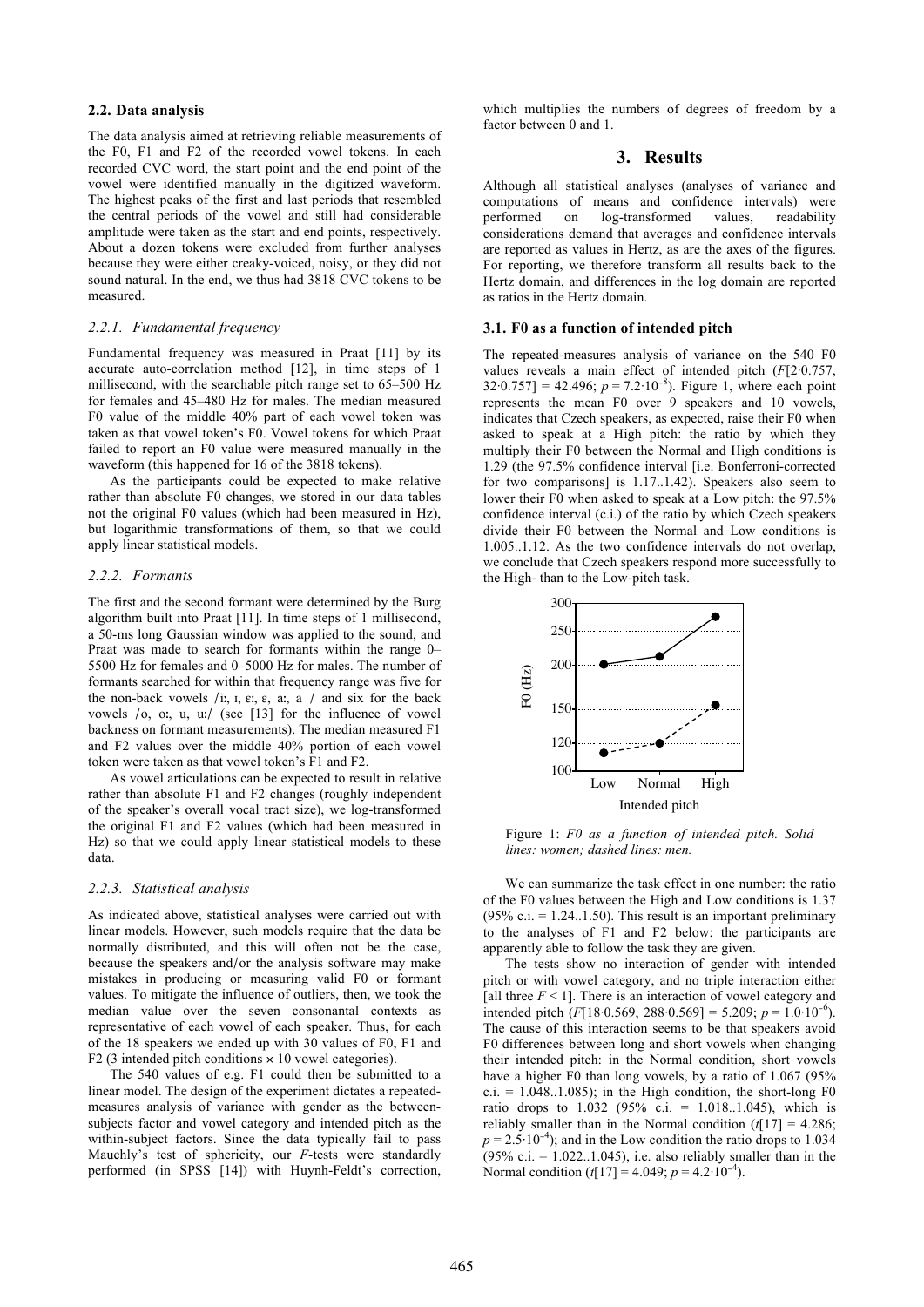#### **2.2. Data analysis**

The data analysis aimed at retrieving reliable measurements of the F0, F1 and F2 of the recorded vowel tokens. In each recorded CVC word, the start point and the end point of the vowel were identified manually in the digitized waveform. The highest peaks of the first and last periods that resembled the central periods of the vowel and still had considerable amplitude were taken as the start and end points, respectively. About a dozen tokens were excluded from further analyses because they were either creaky-voiced, noisy, or they did not sound natural. In the end, we thus had 3818 CVC tokens to be measured.

#### *2.2.1. Fundamental frequency*

Fundamental frequency was measured in Praat [11] by its accurate auto-correlation method [12], in time steps of 1 millisecond, with the searchable pitch range set to 65–500 Hz for females and 45–480 Hz for males. The median measured F0 value of the middle 40% part of each vowel token was taken as that vowel token's F0. Vowel tokens for which Praat failed to report an F0 value were measured manually in the waveform (this happened for 16 of the 3818 tokens).

As the participants could be expected to make relative rather than absolute F0 changes, we stored in our data tables not the original F0 values (which had been measured in Hz), but logarithmic transformations of them, so that we could apply linear statistical models.

#### *2.2.2. Formants*

The first and the second formant were determined by the Burg algorithm built into Praat [11]. In time steps of 1 millisecond, a 50-ms long Gaussian window was applied to the sound, and Praat was made to search for formants within the range 0– 5500 Hz for females and 0–5000 Hz for males. The number of formants searched for within that frequency range was five for the non-back vowels /iː,  $I$ ,  $\varepsilon$ :,  $\varepsilon$ ,  $a$ :,  $a$  / and six for the back vowels /o, oː, u, uː/ (see [13] for the influence of vowel backness on formant measurements). The median measured F1 and F2 values over the middle 40% portion of each vowel token were taken as that vowel token's F1 and F2.

As vowel articulations can be expected to result in relative rather than absolute F1 and F2 changes (roughly independent of the speaker's overall vocal tract size), we log-transformed the original F1 and F2 values (which had been measured in Hz) so that we could apply linear statistical models to these data.

### *2.2.3. Statistical analysis*

As indicated above, statistical analyses were carried out with linear models. However, such models require that the data be normally distributed, and this will often not be the case, because the speakers and/or the analysis software may make mistakes in producing or measuring valid F0 or formant values. To mitigate the influence of outliers, then, we took the median value over the seven consonantal contexts as representative of each vowel of each speaker. Thus, for each of the 18 speakers we ended up with 30 values of F0, F1 and F2 (3 intended pitch conditions  $\times$  10 vowel categories).

The 540 values of e.g. F1 could then be submitted to a linear model. The design of the experiment dictates a repeatedmeasures analysis of variance with gender as the betweensubjects factor and vowel category and intended pitch as the within-subject factors. Since the data typically fail to pass Mauchly's test of sphericity, our *F*-tests were standardly performed (in SPSS [14]) with Huynh-Feldt's correction, which multiplies the numbers of degrees of freedom by a factor between 0 and 1.

## **3. Results**

Although all statistical analyses (analyses of variance and computations of means and confidence intervals) were performed on log-transformed values, readability considerations demand that averages and confidence intervals are reported as values in Hertz, as are the axes of the figures. For reporting, we therefore transform all results back to the Hertz domain, and differences in the log domain are reported as ratios in the Hertz domain.

#### **3.1. F0 as a function of intended pitch**

The repeated-measures analysis of variance on the 540 F0 values reveals a main effect of intended pitch (*F*[2·0.757,  $32.0.757$ ] = 42.496;  $p = 7.2.10^{-8}$ ). Figure 1, where each point represents the mean F0 over 9 speakers and 10 vowels, indicates that Czech speakers, as expected, raise their F0 when asked to speak at a High pitch: the ratio by which they multiply their F0 between the Normal and High conditions is 1.29 (the 97.5% confidence interval [i.e. Bonferroni-corrected for two comparisons] is 1.17..1.42). Speakers also seem to lower their F0 when asked to speak at a Low pitch: the 97.5% confidence interval (c.i.) of the ratio by which Czech speakers divide their F0 between the Normal and Low conditions is 1.005..1.12. As the two confidence intervals do not overlap, we conclude that Czech speakers respond more successfully to the High- than to the Low-pitch task.



Figure 1: *F0 as a function of intended pitch. Solid lines: women; dashed lines: men.*

We can summarize the task effect in one number: the ratio of the F0 values between the High and Low conditions is 1.37 (95% c.i.  $= 1.24...1.50$ ). This result is an important preliminary to the analyses of F1 and F2 below: the participants are apparently able to follow the task they are given.

The tests show no interaction of gender with intended pitch or with vowel category, and no triple interaction either [all three  $F \leq 1$ ]. There is an interaction of vowel category and intended pitch  $(F[18.0.569, 288.0.569] = 5.209$ ;  $p = 1.0.10^{-6}$ ). The cause of this interaction seems to be that speakers avoid F0 differences between long and short vowels when changing their intended pitch: in the Normal condition, short vowels have a higher F0 than long vowels, by a ratio of 1.067 (95%  $c.i. = 1.048..1.085$ ; in the High condition, the short-long F0 ratio drops to  $1.032$  (95% c.i. = 1.018..1.045), which is reliably smaller than in the Normal condition  $(t[17] = 4.286$ ;  $p = 2.5 \cdot 10^{-4}$ ); and in the Low condition the ratio drops to 1.034  $(95\% \text{ c.}i. = 1.022...1.045)$ , i.e. also reliably smaller than in the Normal condition  $(t[17] = 4.049; p = 4.2 \cdot 10^{-4})$ .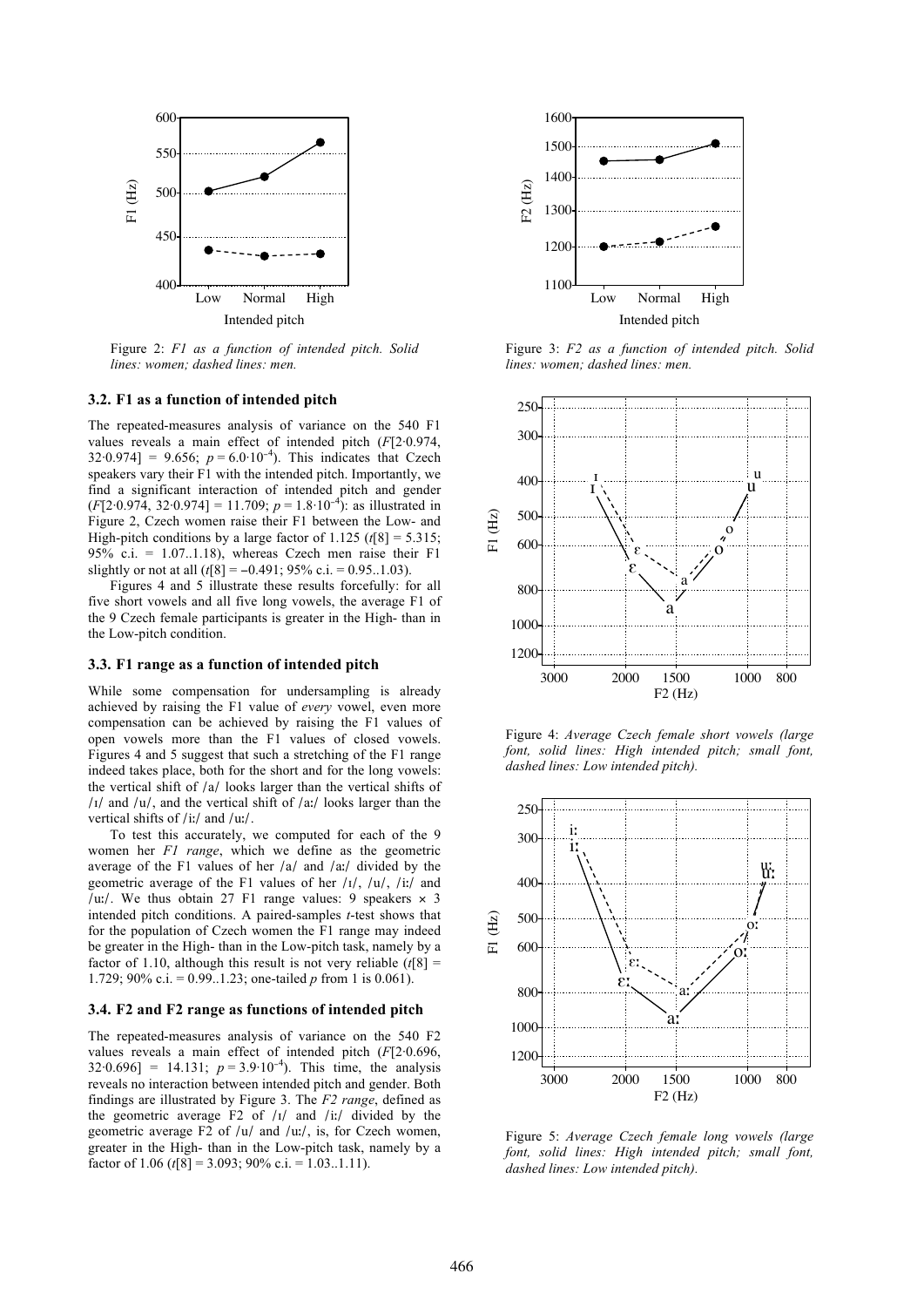

Figure 2: *F1 as a function of intended pitch. Solid lines: women; dashed lines: men.*

#### **3.2. F1 as a function of intended pitch**

The repeated-measures analysis of variance on the 540 F1 values reveals a main effect of intended pitch (*F*[2·0.974,  $32.0.974$ ] = 9.656;  $p = 6.0.10^{-4}$ . This indicates that Czech speakers vary their F1 with the intended pitch. Importantly, we find a significant interaction of intended pitch and gender  $(F[2.0.974, 32.0.974] = 11.709$ ;  $p = 1.8.10^{-4}$ ): as illustrated in Figure 2, Czech women raise their F1 between the Low- and High-pitch conditions by a large factor of  $1.125$  ( $t[8] = 5.315$ ; 95% c.i. =  $1.07...1.18$ ), whereas Czech men raise their F1 slightly or not at all  $(t[8] = -0.491; 95\% \text{ c.i.} = 0.95...1.03)$ .

Figures 4 and 5 illustrate these results forcefully: for all five short vowels and all five long vowels, the average F1 of the 9 Czech female participants is greater in the High- than in the Low-pitch condition.

#### **3.3. F1 range as a function of intended pitch**

While some compensation for undersampling is already achieved by raising the F1 value of *every* vowel, even more compensation can be achieved by raising the F1 values of open vowels more than the F1 values of closed vowels. Figures 4 and 5 suggest that such a stretching of the F1 range indeed takes place, both for the short and for the long vowels: the vertical shift of /a/ looks larger than the vertical shifts of  $\frac{1}{4}$  and  $\frac{1}{u}$ , and the vertical shift of  $\frac{1}{a}$  looks larger than the vertical shifts of /iː/ and /uː/.

To test this accurately, we computed for each of the 9 women her *F1 range*, which we define as the geometric average of the F1 values of her /a/ and /aː/ divided by the geometric average of the F1 values of her  $\frac{1}{\sqrt{1}}$ ,  $\frac{1}{\sqrt{1}}$  and /uː/. We thus obtain 27 F1 range values: 9 speakers  $\times$  3 intended pitch conditions. A paired-samples *t*-test shows that for the population of Czech women the F1 range may indeed be greater in the High- than in the Low-pitch task, namely by a factor of 1.10, although this result is not very reliable  $(t[8])$ 1.729; 90% c.i. = 0.99..1.23; one-tailed *p* from 1 is 0.061).

#### **3.4. F2 and F2 range as functions of intended pitch**

The repeated-measures analysis of variance on the 540 F2 values reveals a main effect of intended pitch (*F*[2·0.696,  $32.0.696$ ] = 14.131;  $p = 3.9.10^{-4}$ ). This time, the analysis reveals no interaction between intended pitch and gender. Both findings are illustrated by Figure 3. The *F2 range*, defined as the geometric average  $\overline{F2}$  of  $\overline{I1}$  and  $\overline{I1}$  divided by the geometric average F2 of /u/ and /uː/, is, for Czech women, greater in the High- than in the Low-pitch task, namely by a factor of 1.06 ( $t[8] = 3.093$ ; 90% c.i. = 1.03..1.11).



Figure 3: *F2 as a function of intended pitch. Solid lines: women; dashed lines: men.*



Figure 4: *Average Czech female short vowels (large font, solid lines: High intended pitch; small font, dashed lines: Low intended pitch).*



Figure 5: *Average Czech female long vowels (large font, solid lines: High intended pitch; small font, dashed lines: Low intended pitch).*